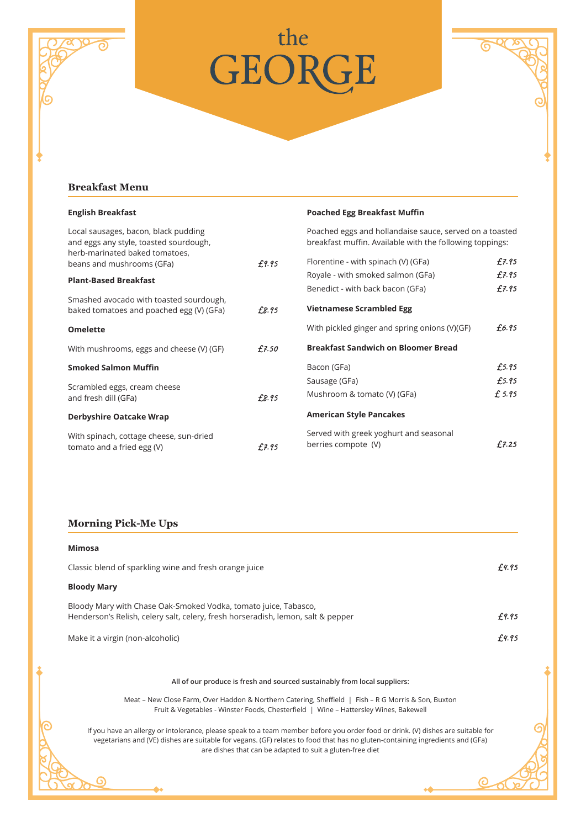



 $\odot$ 

## **Breakfast Menu**

| <b>English Breakfast</b>                                                                                         |       | <b>Poached Egg Breakfast Muffin</b>                                                                                 |        |
|------------------------------------------------------------------------------------------------------------------|-------|---------------------------------------------------------------------------------------------------------------------|--------|
| Local sausages, bacon, black pudding<br>and eggs any style, toasted sourdough,<br>herb-marinated baked tomatoes, |       | Poached eggs and hollandaise sauce, served on a toasted<br>breakfast muffin. Available with the following toppings: |        |
| beans and mushrooms (GFa)                                                                                        | £9.95 | Florentine - with spinach (V) (GFa)                                                                                 | £7.95  |
| <b>Plant-Based Breakfast</b>                                                                                     |       | Royale - with smoked salmon (GFa)                                                                                   | £7.95  |
|                                                                                                                  |       | Benedict - with back bacon (GFa)                                                                                    | £7.95  |
| Smashed avocado with toasted sourdough,<br>baked tomatoes and poached egg (V) (GFa)                              | £8.95 | <b>Vietnamese Scrambled Egg</b>                                                                                     |        |
| <b>Omelette</b>                                                                                                  |       | With pickled ginger and spring onions (V)(GF)                                                                       | £6.95  |
| With mushrooms, eggs and cheese (V) (GF)                                                                         | £7.50 | <b>Breakfast Sandwich on Bloomer Bread</b>                                                                          |        |
| <b>Smoked Salmon Muffin</b>                                                                                      |       | Bacon (GFa)                                                                                                         | £5.95  |
| Scrambled eggs, cream cheese                                                                                     |       | Sausage (GFa)                                                                                                       | £5.95  |
| and fresh dill (GFa)                                                                                             | £8.95 | Mushroom & tomato (V) (GFa)                                                                                         | £ 5.95 |
| <b>Derbyshire Oatcake Wrap</b>                                                                                   |       | <b>American Style Pancakes</b>                                                                                      |        |
| With spinach, cottage cheese, sun-dried<br>tomato and a fried egg (V)                                            | £7.95 | Served with greek yoghurt and seasonal<br>berries compote (V)                                                       | £7.25  |

## **Morning Pick-Me Ups**

 $\odot$ 

|                                                        | Mimosa                                                                                                                                                                                      |       |  |
|--------------------------------------------------------|---------------------------------------------------------------------------------------------------------------------------------------------------------------------------------------------|-------|--|
| Classic blend of sparkling wine and fresh orange juice |                                                                                                                                                                                             | £4.95 |  |
|                                                        | <b>Bloody Mary</b>                                                                                                                                                                          |       |  |
|                                                        | Bloody Mary with Chase Oak-Smoked Vodka, tomato juice, Tabasco,<br>Henderson's Relish, celery salt, celery, fresh horseradish, lemon, salt & pepper                                         | £9.95 |  |
|                                                        | Make it a virgin (non-alcoholic)                                                                                                                                                            | £4.95 |  |
|                                                        |                                                                                                                                                                                             |       |  |
|                                                        | All of our produce is fresh and sourced sustainably from local suppliers:                                                                                                                   |       |  |
|                                                        | Meat – New Close Farm, Over Haddon & Northern Catering, Sheffield   Fish – R G Morris & Son, Buxton<br>Fruit & Vegetables - Winster Foods, Chesterfield   Wine - Hattersley Wines, Bakewell |       |  |

If you have an allergy or intolerance, please speak to a team member before you order food or drink. (V) dishes are suitable for vegetarians and (VE) dishes are suitable for vegans. (GF) relates to food that has no gluten-containing ingredients and (GFa) are dishes that can be adapted to suit a gluten-free diet